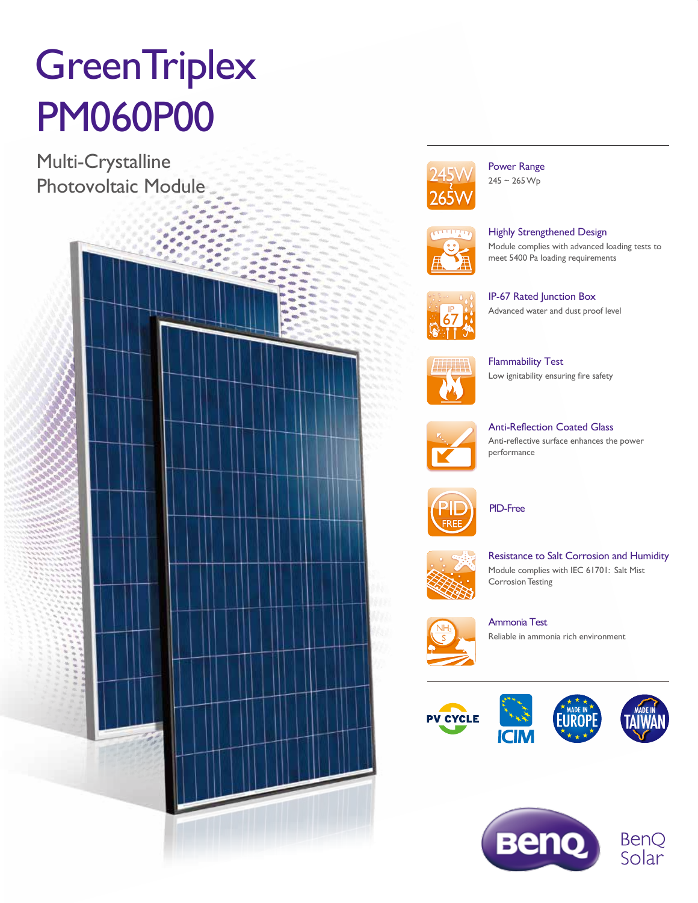# **GreenTriplex** PM060P00

Multi-Crystalline Photovoltaic Module





Power Range  $245 - 265 \,\mathrm{Wp}$ 



Highly Strengthened Design Module complies with advanced loading tests to meet 5400 Pa loading requirements



IP-67 Rated Junction Box Advanced water and dust proof level



Flammability Test Low ignitability ensuring fire safety



Anti-Reflection Coated Glass Anti-reflective surface enhances the power performance



PID-Free



Resistance to Salt Corrosion and Humidity Module complies with IEC 61701: Salt Mist **Corrosion Testing** 



Ammonia Test Reliable in ammonia rich environment